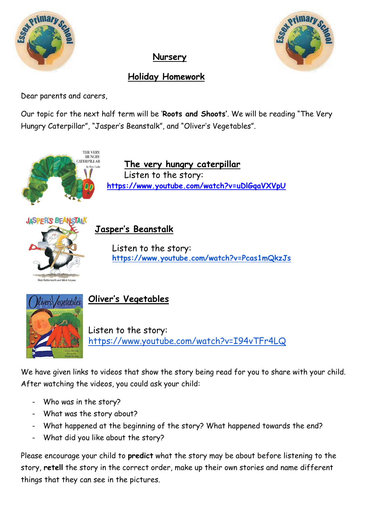

## **Nursery**



## **Holiday Homework**

Dear parents and carers,

Our topic for the next half term will be '**Roots and Shoots'**. We will be reading "The Very Hungry Caterpillar", "Jasper's Beanstalk", and "Oliver's Vegetables".



Listen to the story: <https://www.youtube.com/watch?v=I94vTFr4LQ>

We have given links to videos that show the story being read for you to share with your child. After watching the videos, you could ask your child:

- Who was in the story?
- What was the story about?
- What happened at the beginning of the story? What happened towards the end?
- What did you like about the story?

Please encourage your child to **predict** what the story may be about before listening to the story, **retell** the story in the correct order, make up their own stories and name different things that they can see in the pictures.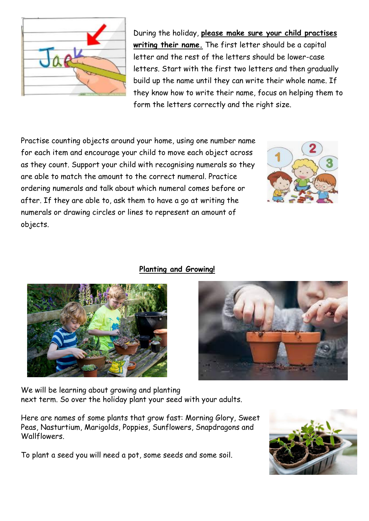

During the holiday, **please make sure your child practises writing their name.** The first letter should be a capital letter and the rest of the letters should be lower-case letters. Start with the first two letters and then gradually build up the name until they can write their whole name. If they know how to write their name, focus on helping them to form the letters correctly and the right size.

Practise counting objects around your home, using one number name for each item and encourage your child to move each object across as they count. Support your child with recognising numerals so they are able to match the amount to the correct numeral. Practice ordering numerals and talk about which numeral comes before or after. If they are able to, ask them to have a go at writing the numerals or drawing circles or lines to represent an amount of objects.







We will be learning about growing and planting next term. So over the holiday plant your seed with your adults.

Here are names of some plants that grow fast: Morning Glory, Sweet Peas, Nasturtium, Marigolds, Poppies, Sunflowers, Snapdragons and Wallflowers.

To plant a seed you will need a pot, some seeds and some soil.